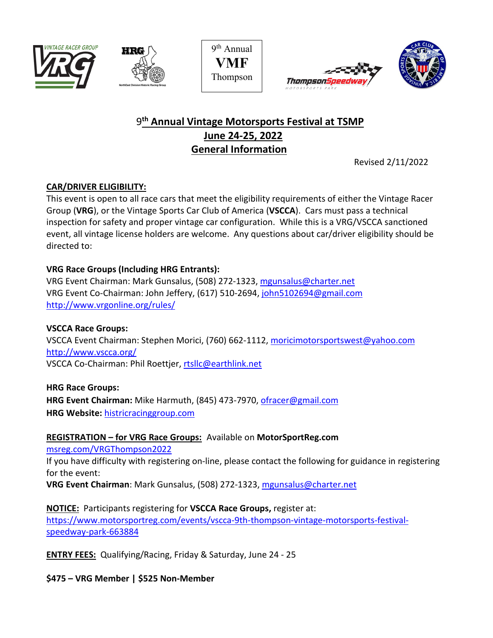









# 9**th Annual Vintage Motorsports Festival at TSMP June 24-25, 2022 General Information**

Revised 2/11/2022

## **CAR/DRIVER ELIGIBILITY:**

This event is open to all race cars that meet the eligibility requirements of either the Vintage Racer Group (**VRG**), or the Vintage Sports Car Club of America (**VSCCA**). Cars must pass a technical inspection for safety and proper vintage car configuration. While this is a VRG/VSCCA sanctioned event, all vintage license holders are welcome. Any questions about car/driver eligibility should be directed to:

## **VRG Race Groups (Including HRG Entrants):**

VRG Event Chairman: Mark Gunsalus, (508) 272-1323, [mgunsalus@charter.net](mailto:mgunsalus@charter.net) VRG Event Co-Chairman: John Jeffery, (617) 510-2694, [john5102694@gmail.com](mailto:john5102694@gmail.com) <http://www.vrgonline.org/rules/>

**VSCCA Race Groups:** VSCCA Event Chairman: Stephen Morici, (760) 662-1112, moricimotorsportswest@yahoo.com <http://www.vscca.org/> VSCCA Co-Chairman: Phil Roettjer, [rtsllc@earthlink.net](mailto:rtsllc@earthlink.net)

**HRG Race Groups:** HRG Event Chairman: Mike Harmuth, (845) 473-7970, [ofracer@gmail.com](mailto:ofracer@gmail.com) **HRG Website:** [histricracinggroup.com](http://histricracinggroup.com/)

### **REGISTRATION – for VRG Race Groups:** Available on **MotorSportReg.com**

[msreg.com/VRGThompson2022](http://msreg.com/VRGThompson2022)

If you have difficulty with registering on-line, please contact the following for guidance in registering for the event:

**VRG Event Chairman**: Mark Gunsalus, (508) 272-1323, [mgunsalus@charter.net](mailto:mgunsalus@charter.net)

**NOTICE:** Participants registering for **VSCCA Race Groups,** register at: [https://www.motorsportreg.com/events/vscca-9th-thompson-vintage-motorsports-festival](https://www.motorsportreg.com/events/vscca-9th-thompson-vintage-motorsports-festival-speedway-park-663884)[speedway-park-663884](https://www.motorsportreg.com/events/vscca-9th-thompson-vintage-motorsports-festival-speedway-park-663884)

**ENTRY FEES:** Qualifying/Racing, Friday & Saturday, June 24 - 25

**\$475 – VRG Member | \$525 Non-Member**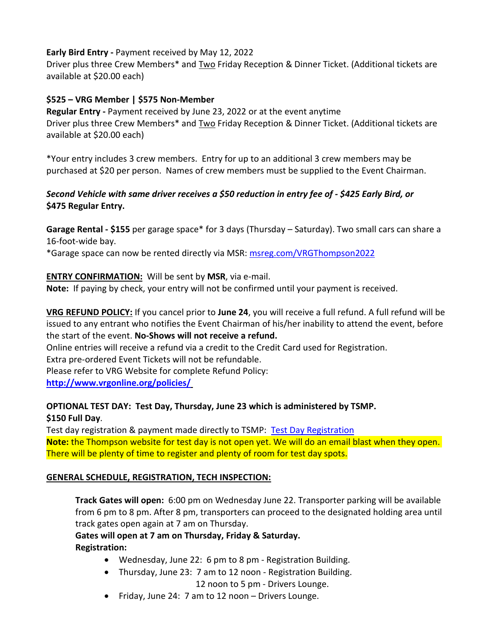### **Early Bird Entry -** Payment received by May 12, 2022

Driver plus three Crew Members\* and Two Friday Reception & Dinner Ticket. (Additional tickets are available at \$20.00 each)

## **\$525 – VRG Member | \$575 Non-Member**

**Regular Entry -** Payment received by June 23, 2022 or at the event anytime Driver plus three Crew Members\* and Two Friday Reception & Dinner Ticket. (Additional tickets are available at \$20.00 each)

\*Your entry includes 3 crew members. Entry for up to an additional 3 crew members may be purchased at \$20 per person. Names of crew members must be supplied to the Event Chairman.

## *Second Vehicle with same driver receives a \$50 reduction in entry fee of - \$425 Early Bird, or* **\$475 Regular Entry.**

**Garage Rental - \$155** per garage space\* for 3 days (Thursday – Saturday). Two small cars can share a 16-foot-wide bay.

\*Garage space can now be rented directly via MSR: [msreg.com/VRGThompson2022](http://msreg.com/VRGThompson2022)

## **ENTRY CONFIRMATION:** Will be sent by **MSR**, via e-mail.

**Note:** If paying by check, your entry will not be confirmed until your payment is received.

**VRG REFUND POLICY:** If you cancel prior to **June 24**, you will receive a full refund. A full refund will be issued to any entrant who notifies the Event Chairman of his/her inability to attend the event, before the start of the event. **No-Shows will not receive a refund.**

Online entries will receive a refund via a credit to the Credit Card used for Registration.

Extra pre-ordered Event Tickets will not be refundable.

Please refer to VRG Website for complete Refund Policy:

**<http://www.vrgonline.org/policies/>**

## **OPTIONAL TEST DAY: Test Day, Thursday, June 23 which is administered by TSMP. \$150 Full Day**.

Test day registration & payment made directly to TSMP: [Test Day Registration](http://www.thompsonspeedway.com/reservations) **Note:** the Thompson website for test day is not open yet. We will do an email blast when they open. There will be plenty of time to register and plenty of room for test day spots.

### **GENERAL SCHEDULE, REGISTRATION, TECH INSPECTION:**

**Track Gates will open:** 6:00 pm on Wednesday June 22. Transporter parking will be available from 6 pm to 8 pm. After 8 pm, transporters can proceed to the designated holding area until track gates open again at 7 am on Thursday.

**Gates will open at 7 am on Thursday, Friday & Saturday. Registration:**

- Wednesday, June 22: 6 pm to 8 pm Registration Building.
- Thursday, June 23: 7 am to 12 noon Registration Building.

12 noon to 5 pm - Drivers Lounge.

• Friday, June 24: 7 am to 12 noon – Drivers Lounge.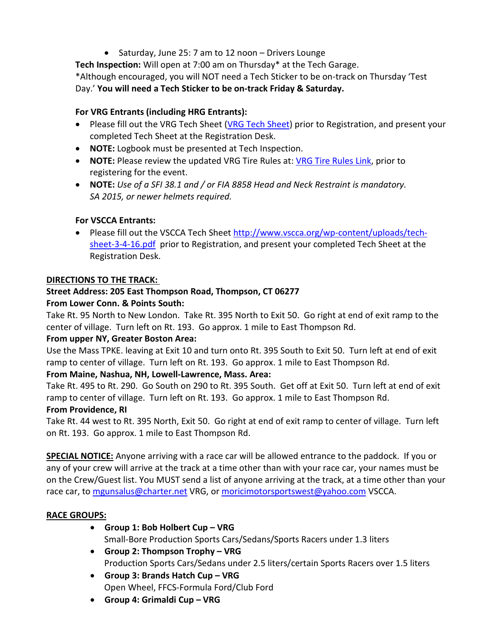• Saturday, June 25: 7 am to 12 noon – Drivers Lounge

**Tech Inspection:** Will open at 7:00 am on Thursday\* at the Tech Garage.

\*Although encouraged, you will NOT need a Tech Sticker to be on-track on Thursday 'Test

Day.' **You will need a Tech Sticker to be on-track Friday & Saturday.**

## **For VRG Entrants (including HRG Entrants):**

- Please fill out the VRG Tech Sheet [\(VRG Tech Sheet\)](https://vrgonline.org/vrg/wp-content/uploads/Forms/tech_sheet_Rev_3_442018.pdf) prior to Registration, and present your completed Tech Sheet at the Registration Desk.
- **NOTE:** Logbook must be presented at Tech Inspection.
- **NOTE:** Please review the updated VRG Tire Rules at: [VRG Tire Rules Link,](https://vrgonline.org/vrg/wp-content/uploads/Rules_Regs/VRG_TIRE_RULES_20200110.pdf) prior to registering for the event.
- **NOTE:** *Use of a SFI 38.1 and / or FIA 8858 Head and Neck Restraint is mandatory. SA 2015, or newer helmets required.*

## **For VSCCA Entrants:**

• Please fill out the VSCCA Tech Sheet [http://www.vscca.org/wp-content/uploads/tech](http://www.vscca.org/wp-content/uploads/tech-sheet-3-4-16.pdf)[sheet-3-4-16.pdf](http://www.vscca.org/wp-content/uploads/tech-sheet-3-4-16.pdf) prior to Registration, and present your completed Tech Sheet at the Registration Desk.

## **DIRECTIONS TO THE TRACK:**

## **Street Address: 205 East Thompson Road, Thompson, CT 06277**

## **From Lower Conn. & Points South:**

Take Rt. 95 North to New London. Take Rt. 395 North to Exit 50. Go right at end of exit ramp to the center of village. Turn left on Rt. 193. Go approx. 1 mile to East Thompson Rd.

### **From upper NY, Greater Boston Area:**

Use the Mass TPKE. leaving at Exit 10 and turn onto Rt. 395 South to Exit 50. Turn left at end of exit ramp to center of village. Turn left on Rt. 193. Go approx. 1 mile to East Thompson Rd.

## **From Maine, Nashua, NH, Lowell-Lawrence, Mass. Area:**

Take Rt. 495 to Rt. 290. Go South on 290 to Rt. 395 South. Get off at Exit 50. Turn left at end of exit ramp to center of village. Turn left on Rt. 193. Go approx. 1 mile to East Thompson Rd.

### **From Providence, RI**

Take Rt. 44 west to Rt. 395 North, Exit 50. Go right at end of exit ramp to center of village. Turn left on Rt. 193. Go approx. 1 mile to East Thompson Rd.

**SPECIAL NOTICE:** Anyone arriving with a race car will be allowed entrance to the paddock. If you or any of your crew will arrive at the track at a time other than with your race car, your names must be on the Crew/Guest list. You MUST send a list of anyone arriving at the track, at a time other than your race car, to [mgunsalus@charter.net](mailto:mgunsalus@charter.net) VRG, or moricimotorsportswest@yahoo.com VSCCA.

### **RACE GROUPS:**

- **Group 1: Bob Holbert Cup – VRG**  Small-Bore Production Sports Cars/Sedans/Sports Racers under 1.3 liters
- **Group 2: Thompson Trophy – VRG** Production Sports Cars/Sedans under 2.5 liters/certain Sports Racers over 1.5 liters
- **Group 3: Brands Hatch Cup – VRG** Open Wheel, FFCS-Formula Ford/Club Ford
- **Group 4: Grimaldi Cup – VRG**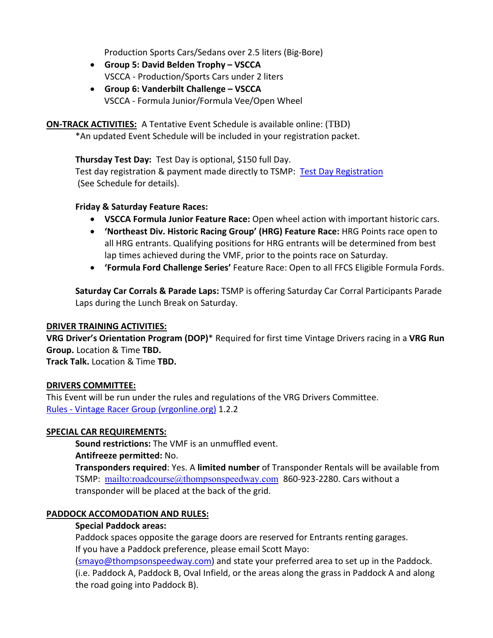Production Sports Cars/Sedans over 2.5 liters (Big-Bore)

- **Group 5: David Belden Trophy – VSCCA** VSCCA - Production/Sports Cars under 2 liters
- **Group 6: Vanderbilt Challenge – VSCCA** VSCCA - Formula Junior/Formula Vee/Open Wheel

**ON-TRACK ACTIVITIES:** A Tentative Event Schedule is available online: (TBD)

\*An updated Event Schedule will be included in your registration packet.

**Thursday Test Day:** Test Day is optional, \$150 full Day. Test day registration & payment made directly to TSMP: [Test Day Registration](http://www.thompsonspeedway.com/reservations) (See Schedule for details).

#### **Friday & Saturday Feature Races:**

- **VSCCA Formula Junior Feature Race:** Open wheel action with important historic cars.
- **'Northeast Div. Historic Racing Group' (HRG) Feature Race:** HRG Points race open to all HRG entrants. Qualifying positions for HRG entrants will be determined from best lap times achieved during the VMF, prior to the points race on Saturday.
- **'Formula Ford Challenge Series'** Feature Race: Open to all FFCS Eligible Formula Fords.

**Saturday Car Corrals & Parade Laps:** TSMP is offering Saturday Car Corral Participants Parade Laps during the Lunch Break on Saturday.

#### **DRIVER TRAINING ACTIVITIES:**

**VRG Driver's Orientation Program (DOP)**\* Required for first time Vintage Drivers racing in a **VRG Run Group.** Location & Time **TBD.**

**Track Talk.** Location & Time **TBD.**

#### **DRIVERS COMMITTEE:**

This Event will be run under the rules and regulations of the VRG Drivers Committee. Rules - [Vintage Racer Group \(vrgonline.org\)](https://vrgonline.org/rules/) 1.2.2

#### **SPECIAL CAR REQUIREMENTS:**

**Sound restrictions:** The VMF is an unmuffled event. **Antifreeze permitted:** No.

**Transponders required**: Yes. A **limited number** of Transponder Rentals will be available from TSMP: <mailto:roadcourse@thompsonspeedway.com> 860-923-2280. Cars without a transponder will be placed at the back of the grid.

#### **PADDOCK ACCOMODATION AND RULES:**

#### **Special Paddock areas:**

Paddock spaces opposite the garage doors are reserved for Entrants renting garages. If you have a Paddock preference, please email Scott Mayo:

[\(smayo@thompsonspeedway.com\)](mailto:smayo@thompsonspeedway.com) and state your preferred area to set up in the Paddock. (i.e. Paddock A, Paddock B, Oval Infield, or the areas along the grass in Paddock A and along the road going into Paddock B).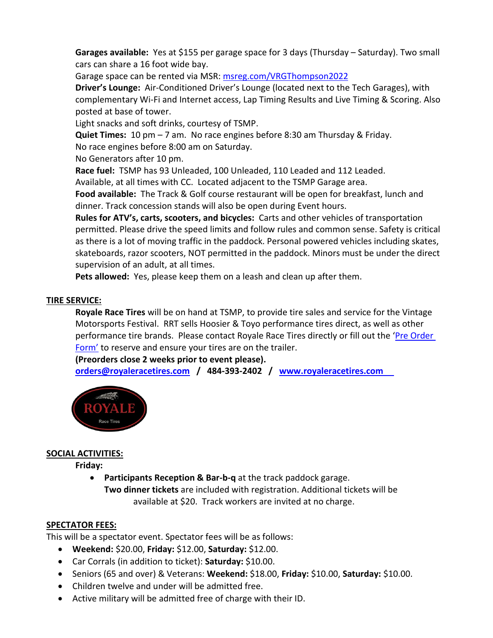Garages available: Yes at \$155 per garage space for 3 days (Thursday - Saturday). Two small cars can share a 16 foot wide bay.

Garage space can be rented via MSR: [msreg.com/VRGThompson2022](http://msreg.com/VRGThompson2022)

**Driver's Lounge:** Air-Conditioned Driver's Lounge (located next to the Tech Garages), with complementary Wi-Fi and Internet access, Lap Timing Results and Live Timing & Scoring. Also posted at base of tower.

Light snacks and soft drinks, courtesy of TSMP.

**Quiet Times:** 10 pm – 7 am. No race engines before 8:30 am Thursday & Friday.

No race engines before 8:00 am on Saturday.

No Generators after 10 pm.

**Race fuel:** TSMP has 93 Unleaded, 100 Unleaded, 110 Leaded and 112 Leaded.

Available, at all times with CC. Located adjacent to the TSMP Garage area.

**Food available:** The Track & Golf course restaurant will be open for breakfast, lunch and dinner. Track concession stands will also be open during Event hours.

**Rules for ATV's, carts, scooters, and bicycles:** Carts and other vehicles of transportation permitted. Please drive the speed limits and follow rules and common sense. Safety is critical as there is a lot of moving traffic in the paddock. Personal powered vehicles including skates, skateboards, razor scooters, NOT permitted in the paddock. Minors must be under the direct supervision of an adult, at all times.

**Pets allowed:** Yes, please keep them on a leash and clean up after them.

#### **TIRE SERVICE:**

**Royale Race Tires** will be on hand at TSMP, to provide tire sales and service for the Vintage Motorsports Festival. RRT sells Hoosier & Toyo performance tires direct, as well as other performance tire brands. Please contact Royale Race Tires directly or fill out the ['Pre Order](http://www.royaleracetires.com/tires-circuit/)  [Form'](http://www.royaleracetires.com/tires-circuit/) to reserve and ensure your tires are on the trailer.

**(Preorders close 2 weeks prior to event please).**

**[orders@royaleracetires.com](mailto:orders@royaleracetires.com) / 484-393-2402 / [www.royaleracetires.com](http://www.royaleracetires.com/)**



### **SOCIAL ACTIVITIES:**

**Friday:**

• **Participants Reception & Bar-b-q** at the track paddock garage. **Two dinner tickets** are included with registration. Additional tickets will be available at \$20. Track workers are invited at no charge.

### **SPECTATOR FEES:**

This will be a spectator event. Spectator fees will be as follows:

- **Weekend:** \$20.00, **Friday:** \$12.00, **Saturday:** \$12.00.
- Car Corrals (in addition to ticket): **Saturday:** \$10.00.
- Seniors (65 and over) & Veterans: **Weekend:** \$18.00, **Friday:** \$10.00, **Saturday:** \$10.00.
- Children twelve and under will be admitted free.
- Active military will be admitted free of charge with their ID.